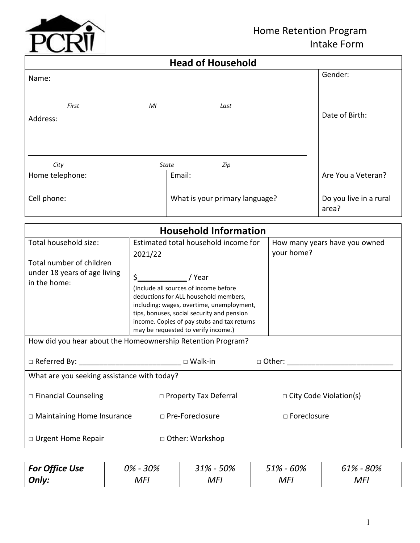

| <b>Head of Household</b> |  |
|--------------------------|--|
|--------------------------|--|

| Name:           |                                | Gender:                         |
|-----------------|--------------------------------|---------------------------------|
| First<br>MI     | Last                           |                                 |
| Address:        |                                | Date of Birth:                  |
|                 |                                |                                 |
|                 |                                |                                 |
| City            | State<br>Zip                   |                                 |
| Home telephone: | Email:                         | Are You a Veteran?              |
|                 |                                |                                 |
| Cell phone:     | What is your primary language? | Do you live in a rural<br>area? |

| <b>Household Information</b>                                                                         |                                                                                           |                               |  |  |
|------------------------------------------------------------------------------------------------------|-------------------------------------------------------------------------------------------|-------------------------------|--|--|
| Total household size:                                                                                | Estimated total household income for                                                      | How many years have you owned |  |  |
|                                                                                                      | 2021/22                                                                                   | your home?                    |  |  |
| Total number of children<br>under 18 years of age living                                             |                                                                                           |                               |  |  |
| in the home:                                                                                         | \$//Year                                                                                  |                               |  |  |
|                                                                                                      | (Include all sources of income before<br>deductions for ALL household members,            |                               |  |  |
|                                                                                                      | including: wages, overtime, unemployment,                                                 |                               |  |  |
|                                                                                                      | tips, bonuses, social security and pension<br>income. Copies of pay stubs and tax returns |                               |  |  |
|                                                                                                      | may be requested to verify income.)                                                       |                               |  |  |
|                                                                                                      | How did you hear about the Homeownership Retention Program?                               |                               |  |  |
|                                                                                                      |                                                                                           |                               |  |  |
| □ Referred By: University: University: University: University: University: University: University: U |                                                                                           | $\Box$ Other:                 |  |  |
| What are you seeking assistance with today?                                                          |                                                                                           |                               |  |  |
| $\Box$ Financial Counseling                                                                          | $\Box$ Property Tax Deferral                                                              | $\Box$ City Code Violation(s) |  |  |
| $\Box$ Maintaining Home Insurance                                                                    | □ Pre-Foreclosure                                                                         | $\square$ Foreclosure         |  |  |
| $\Box$ Urgent Home Repair                                                                            | □ Other: Workshop                                                                         |                               |  |  |

| <b>For Office Use</b> | 0% - 30% | $31\% - 50\%$ | $51\% - 60\%$ | $61\% - 80\%$ |
|-----------------------|----------|---------------|---------------|---------------|
| Only:                 | MFI      | <b>MFI</b>    | <b>MFI</b>    | MFI           |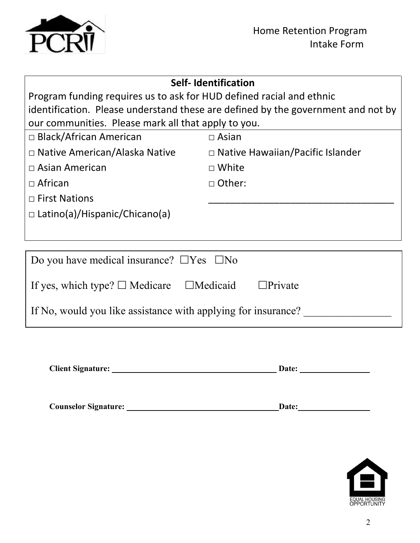

|                                                                                  | <b>Self-Identification</b>              |  |  |  |
|----------------------------------------------------------------------------------|-----------------------------------------|--|--|--|
| Program funding requires us to ask for HUD defined racial and ethnic             |                                         |  |  |  |
| identification. Please understand these are defined by the government and not by |                                         |  |  |  |
| our communities. Please mark all that apply to you.                              |                                         |  |  |  |
| $\Box$ Black/African American                                                    | $\Box$ Asian                            |  |  |  |
| $\Box$ Native American/Alaska Native                                             | $\Box$ Native Hawaiian/Pacific Islander |  |  |  |
| $\Box$ Asian American                                                            | $\Box$ White                            |  |  |  |
| $\Box$ African                                                                   | $\Box$ Other:                           |  |  |  |
| $\Box$ First Nations                                                             |                                         |  |  |  |
| $\Box$ Latino(a)/Hispanic/Chicano(a)                                             |                                         |  |  |  |
|                                                                                  |                                         |  |  |  |
|                                                                                  |                                         |  |  |  |
|                                                                                  |                                         |  |  |  |

| Do you have medical insurance? $\Box$ Yes $\Box$ No                |  |
|--------------------------------------------------------------------|--|
| If yes, which type? $\Box$ Medicare $\Box$ Medicaid $\Box$ Private |  |
| If No, would you like assistance with applying for insurance?      |  |

| <b>Client Signature:</b>    | Date: |
|-----------------------------|-------|
|                             |       |
|                             |       |
|                             |       |
| <b>Counselor Signature:</b> | Date: |

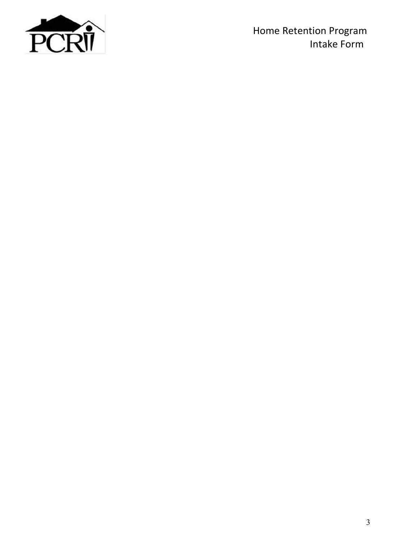

Intake Form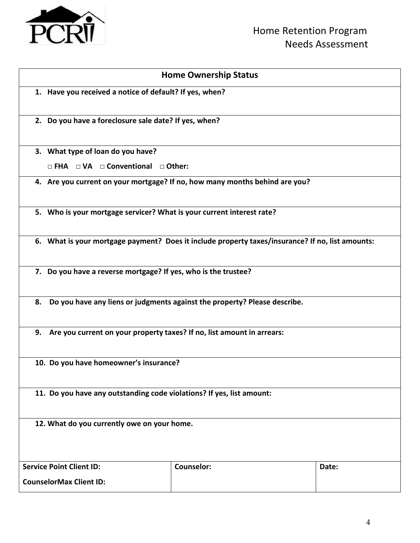

| <b>Home Ownership Status</b>                                              |                                                                                                  |       |  |
|---------------------------------------------------------------------------|--------------------------------------------------------------------------------------------------|-------|--|
| 1. Have you received a notice of default? If yes, when?                   |                                                                                                  |       |  |
| 2. Do you have a foreclosure sale date? If yes, when?                     |                                                                                                  |       |  |
| 3. What type of loan do you have?                                         |                                                                                                  |       |  |
| $\Box$ FHA $\Box$ VA $\Box$ Conventional $\Box$ Other:                    |                                                                                                  |       |  |
|                                                                           | 4. Are you current on your mortgage? If no, how many months behind are you?                      |       |  |
| 5. Who is your mortgage servicer? What is your current interest rate?     |                                                                                                  |       |  |
|                                                                           | 6. What is your mortgage payment? Does it include property taxes/insurance? If no, list amounts: |       |  |
| 7. Do you have a reverse mortgage? If yes, who is the trustee?            |                                                                                                  |       |  |
| 8.                                                                        | Do you have any liens or judgments against the property? Please describe.                        |       |  |
| 9. Are you current on your property taxes? If no, list amount in arrears: |                                                                                                  |       |  |
| 10. Do you have homeowner's insurance?                                    |                                                                                                  |       |  |
| 11. Do you have any outstanding code violations? If yes, list amount:     |                                                                                                  |       |  |
| 12. What do you currently owe on your home.                               |                                                                                                  |       |  |
| <b>Service Point Client ID:</b>                                           | <b>Counselor:</b>                                                                                | Date: |  |
| <b>CounselorMax Client ID:</b>                                            |                                                                                                  |       |  |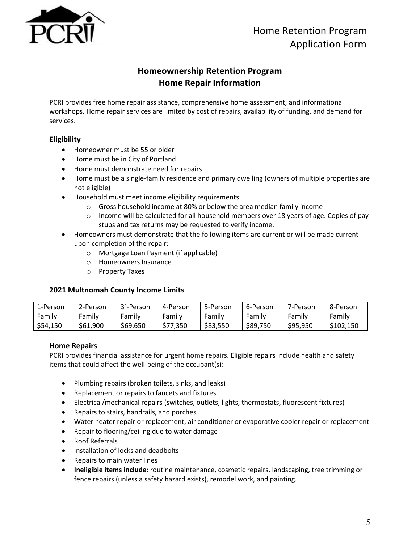

## **Homeownership Retention Program Home Repair Information**

PCRI provides free home repair assistance, comprehensive home assessment, and informational workshops. Home repair services are limited by cost of repairs, availability of funding, and demand for services.

### **Eligibility**

- Homeowner must be 55 or older
- Home must be in City of Portland
- Home must demonstrate need for repairs
- Home must be a single-family residence and primary dwelling (owners of multiple properties are not eligible)
- Household must meet income eligibility requirements:
	- o Gross household income at 80% or below the area median family income
	- $\circ$  Income will be calculated for all household members over 18 years of age. Copies of pay stubs and tax returns may be requested to verify income.
- Homeowners must demonstrate that the following items are current or will be made current upon completion of the repair:
	- o Mortgage Loan Payment (if applicable)
	- o Homeowners Insurance
	- o Property Taxes

### **2021 Multnomah County Income Limits**

| 1-Person | 2-Person | 3 <sup>-</sup> Person | 4-Person | 5-Person | 6-Person | 7-Person | 8-Person  |
|----------|----------|-----------------------|----------|----------|----------|----------|-----------|
| Family   | Family   | Family                | Family   | Family   | Family   | Family   | Family    |
| \$54,150 | \$61,900 | \$69,650              | \$77.350 | \$83,550 | \$89,750 | \$95.950 | \$102.150 |

### **Home Repairs**

PCRI provides financial assistance for urgent home repairs. Eligible repairs include health and safety items that could affect the well-being of the occupant(s):

- Plumbing repairs (broken toilets, sinks, and leaks)
- Replacement or repairs to faucets and fixtures
- Electrical/mechanical repairs (switches, outlets, lights, thermostats, fluorescent fixtures)
- Repairs to stairs, handrails, and porches
- Water heater repair or replacement, air conditioner or evaporative cooler repair or replacement
- Repair to flooring/ceiling due to water damage
- Roof Referrals
- Installation of locks and deadbolts
- Repairs to main water lines
- **Ineligible items include**: routine maintenance, cosmetic repairs, landscaping, tree trimming or fence repairs (unless a safety hazard exists), remodel work, and painting.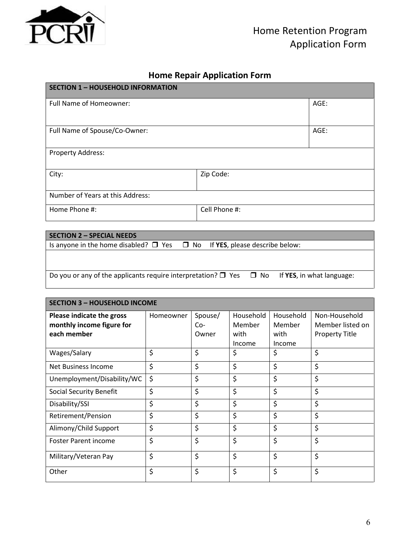

| <b>SECTION 1 - HOUSEHOLD INFORMATION</b> |               |      |  |
|------------------------------------------|---------------|------|--|
| <b>Full Name of Homeowner:</b>           |               | AGE: |  |
|                                          |               |      |  |
| Full Name of Spouse/Co-Owner:            |               | AGE: |  |
| Property Address:                        |               |      |  |
| City:                                    | Zip Code:     |      |  |
| Number of Years at this Address:         |               |      |  |
| Home Phone #:                            | Cell Phone #: |      |  |
|                                          |               |      |  |

**SECTION 2 – SPECIAL NEEDS** Is anyone in the home disabled?  $\Box$  Yes  $\Box$  No If YES, please describe below:

Do you or any of the applicants require interpretation? □ Yes □ No If YES, in what language:

| <b>SECTION 3 - HOUSEHOLD INCOME</b>                                   |           |                           |                                       |                                       |                                                            |
|-----------------------------------------------------------------------|-----------|---------------------------|---------------------------------------|---------------------------------------|------------------------------------------------------------|
| Please indicate the gross<br>monthly income figure for<br>each member | Homeowner | Spouse/<br>$Co-$<br>Owner | Household<br>Member<br>with<br>Income | Household<br>Member<br>with<br>Income | Non-Household<br>Member listed on<br><b>Property Title</b> |
| Wages/Salary                                                          | \$        | \$                        | \$                                    | \$                                    | \$                                                         |
| Net Business Income                                                   | \$        | \$                        | \$                                    | \$                                    | \$                                                         |
| Unemployment/Disability/WC                                            | \$        | \$                        | \$                                    | \$                                    | \$                                                         |
| <b>Social Security Benefit</b>                                        | \$        | \$                        | \$                                    | \$                                    | \$                                                         |
| Disability/SSI                                                        | \$        | \$                        | \$                                    | \$                                    | \$                                                         |
| Retirement/Pension                                                    | \$        | \$                        | \$                                    | \$                                    | \$                                                         |
| Alimony/Child Support                                                 | \$        | \$                        | \$                                    | \$                                    | \$                                                         |
| <b>Foster Parent income</b>                                           | \$        | \$                        | \$                                    | \$                                    | \$                                                         |
| Military/Veteran Pay                                                  | \$        | \$                        | \$                                    | \$                                    | \$                                                         |
| Other                                                                 | \$        | \$                        | \$                                    | \$                                    | \$                                                         |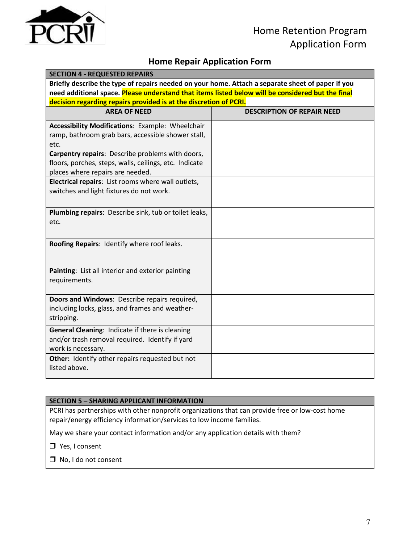

| <b>SECTION 4 - REQUESTED REPAIRS</b>                                                                                                           |                                                                                                   |  |  |  |  |
|------------------------------------------------------------------------------------------------------------------------------------------------|---------------------------------------------------------------------------------------------------|--|--|--|--|
| Briefly describe the type of repairs needed on your home. Attach a separate sheet of paper if you                                              |                                                                                                   |  |  |  |  |
|                                                                                                                                                | need additional space. Please understand that items listed below will be considered but the final |  |  |  |  |
| decision regarding repairs provided is at the discretion of PCRI.                                                                              |                                                                                                   |  |  |  |  |
| <b>AREA OF NEED</b>                                                                                                                            | <b>DESCRIPTION OF REPAIR NEED</b>                                                                 |  |  |  |  |
| Accessibility Modifications: Example: Wheelchair<br>ramp, bathroom grab bars, accessible shower stall,<br>etc.                                 |                                                                                                   |  |  |  |  |
| Carpentry repairs: Describe problems with doors,<br>floors, porches, steps, walls, ceilings, etc. Indicate<br>places where repairs are needed. |                                                                                                   |  |  |  |  |
| Electrical repairs: List rooms where wall outlets,<br>switches and light fixtures do not work.                                                 |                                                                                                   |  |  |  |  |
| Plumbing repairs: Describe sink, tub or toilet leaks,<br>etc.                                                                                  |                                                                                                   |  |  |  |  |
| Roofing Repairs: Identify where roof leaks.                                                                                                    |                                                                                                   |  |  |  |  |
| Painting: List all interior and exterior painting<br>requirements.                                                                             |                                                                                                   |  |  |  |  |
| Doors and Windows: Describe repairs required,<br>including locks, glass, and frames and weather-<br>stripping.                                 |                                                                                                   |  |  |  |  |
| General Cleaning: Indicate if there is cleaning<br>and/or trash removal required. Identify if yard<br>work is necessary.                       |                                                                                                   |  |  |  |  |
| Other: Identify other repairs requested but not<br>listed above.                                                                               |                                                                                                   |  |  |  |  |

### **SECTION 5 – SHARING APPLICANT INFORMATION**

PCRI has partnerships with other nonprofit organizations that can provide free or low-cost home repair/energy efficiency information/services to low income families.

May we share your contact information and/or any application details with them?

□ Yes, I consent

□ No, I do not consent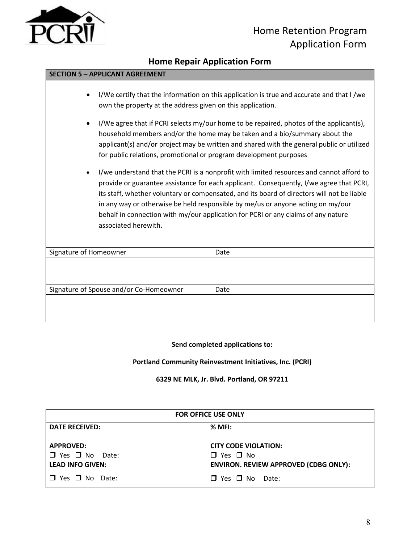

#### **SECTION 5 – APPLICANT AGREEMENT**

| • I/We certify that the information on this application is true and accurate and that I /we |
|---------------------------------------------------------------------------------------------|
| own the property at the address given on this application.                                  |

- I/We agree that if PCRI selects my/our home to be repaired, photos of the applicant(s), household members and/or the home may be taken and a bio/summary about the applicant(s) and/or project may be written and shared with the general public or utilized for public relations, promotional or program development purposes
- I/we understand that the PCRI is a nonprofit with limited resources and cannot afford to provide or guarantee assistance for each applicant. Consequently, I/we agree that PCRI, its staff, whether voluntary or compensated, and its board of directors will not be liable in any way or otherwise be held responsible by me/us or anyone acting on my/our behalf in connection with my/our application for PCRI or any claims of any nature associated herewith.

| Signature of Homeowner                  | Date |
|-----------------------------------------|------|
|                                         |      |
|                                         |      |
|                                         |      |
|                                         |      |
| Signature of Spouse and/or Co-Homeowner | Date |
|                                         |      |
|                                         |      |
|                                         |      |
|                                         |      |
|                                         |      |

### **Send completed applications to:**

### **Portland Community Reinvestment Initiatives, Inc. (PCRI)**

### **6329 NE MLK, Jr. Blvd. Portland, OR 97211**

| <b>FOR OFFICE USE ONLY</b> |                                              |  |
|----------------------------|----------------------------------------------|--|
| <b>DATE RECEIVED:</b>      | $%$ MFI:                                     |  |
| <b>APPROVED:</b>           | <b>CITY CODE VIOLATION:</b>                  |  |
| $\Box$ Yes $\Box$ No Date: | $\Box$ Yes $\Box$ No                         |  |
| <b>LEAD INFO GIVEN:</b>    | <b>ENVIRON. REVIEW APPROVED (CDBG ONLY):</b> |  |
| $\Box$ Yes $\Box$ No Date: | $\Box$ Yes $\Box$ No Date:                   |  |